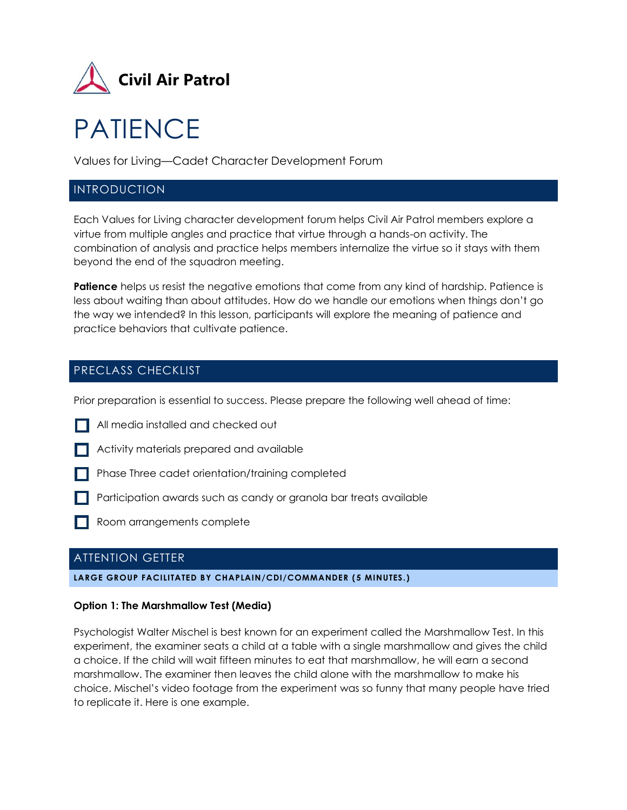

# PATIENCE

Values for Living—Cadet Character Development Forum

## INTRODUCTION

Each Values for Living character development forum helps Civil Air Patrol members explore a virtue from multiple angles and practice that virtue through a hands-on activity. The combination of analysis and practice helps members internalize the virtue so it stays with them beyond the end of the squadron meeting.

**Patience** helps us resist the negative emotions that come from any kind of hardship. Patience is less about waiting than about attitudes. How do we handle our emotions when things don't go the way we intended? In this lesson, participants will explore the meaning of patience and practice behaviors that cultivate patience.

# PRECLASS CHECKLIST

Prior preparation is essential to success. Please prepare the following well ahead of time:

- All media installed and checked out
- Activity materials prepared and available
- **Phase Three cadet orientation/training completed**
- **Participation awards such as candy or granola bar treats available**
- Room arrangements complete

# ATTENTION GETTER

#### **LARGE GROUP FACILITATED BY CHAPLAIN/CDI/COMMANDER (5 MINUTES.)**

#### **Option 1: The Marshmallow Test (Media)**

Psychologist Walter Mischel is best known for an experiment called the Marshmallow Test. In this experiment, the examiner seats a child at a table with a single marshmallow and gives the child a choice. If the child will wait fifteen minutes to eat that marshmallow, he will earn a second marshmallow. The examiner then leaves the child alone with the marshmallow to make his choice. Mischel's video footage from the experiment was so funny that many people have tried to replicate it. Here is one example.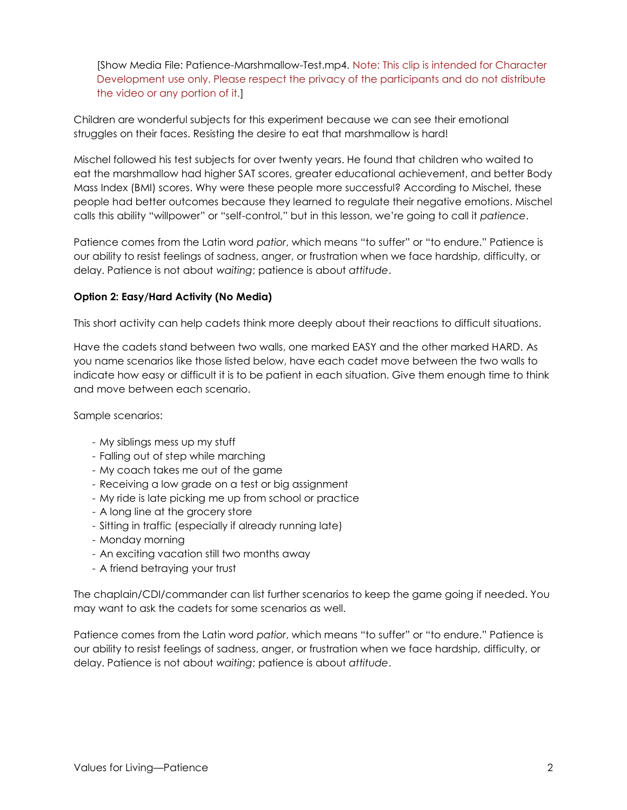[Show Media File: Patience-Marshmallow-Test.mp4. Note: This clip is intended for Character Development use only. Please respect the privacy of the participants and do not distribute the video or any portion of it.]

Children are wonderful subjects for this experiment because we can see their emotional struggles on their faces. Resisting the desire to eat that marshmallow is hard!

Mischel followed his test subjects for over twenty years. He found that children who waited to eat the marshmallow had higher SAT scores, greater educational achievement, and better Body Mass Index (BMI) scores. Why were these people more successful? According to Mischel, these people had better outcomes because they learned to regulate their negative emotions. Mischel calls this ability "willpower" or "self-control," but in this lesson, we're going to call it *patience*.

Patience comes from the Latin word *patior*, which means "to suffer" or "to endure." Patience is our ability to resist feelings of sadness, anger, or frustration when we face hardship, difficulty, or delay. Patience is not about *waiting*; patience is about *attitude*.

#### **Option 2: Easy/Hard Activity (No Media)**

This short activity can help cadets think more deeply about their reactions to difficult situations.

Have the cadets stand between two walls, one marked EASY and the other marked HARD. As you name scenarios like those listed below, have each cadet move between the two walls to indicate how easy or difficult it is to be patient in each situation. Give them enough time to think and move between each scenario.

Sample scenarios:

- My siblings mess up my stuff
- Falling out of step while marching
- My coach takes me out of the game
- Receiving a low grade on a test or big assignment
- My ride is late picking me up from school or practice
- A long line at the grocery store
- Sitting in traffic (especially if already running late)
- Monday morning
- An exciting vacation still two months away
- A friend betraying your trust

The chaplain/CDI/commander can list further scenarios to keep the game going if needed. You may want to ask the cadets for some scenarios as well.

Patience comes from the Latin word *patior*, which means "to suffer" or "to endure." Patience is our ability to resist feelings of sadness, anger, or frustration when we face hardship, difficulty, or delay. Patience is not about *waiting*; patience is about *attitude*.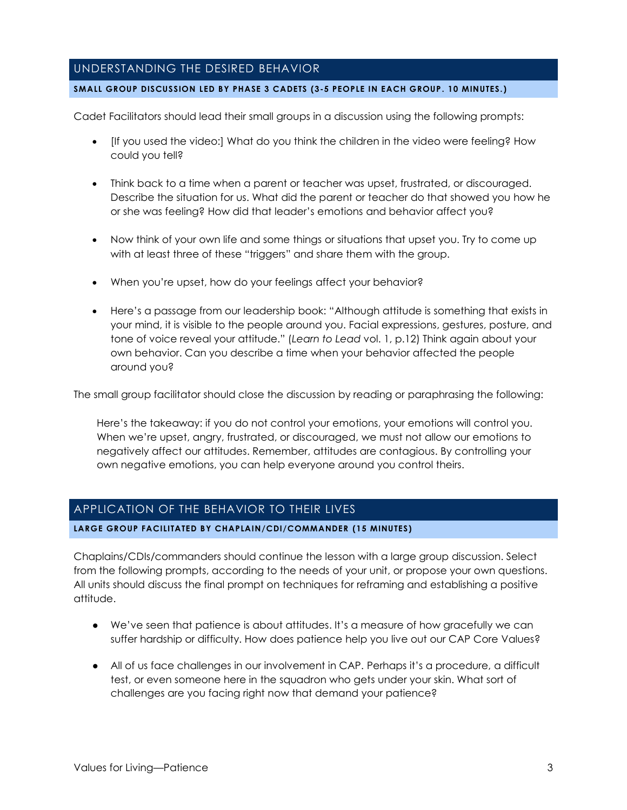## UNDERSTANDING THE DESIRED BEHAVIOR

#### **SMALL GROUP DISCUSSION LED BY PHASE 3 CADETS (3-5 PEOPLE IN EACH GROUP. 10 MINUTES.)**

Cadet Facilitators should lead their small groups in a discussion using the following prompts:

- [If you used the video:] What do you think the children in the video were feeling? How could you tell?
- Think back to a time when a parent or teacher was upset, frustrated, or discouraged. Describe the situation for us. What did the parent or teacher do that showed you how he or she was feeling? How did that leader's emotions and behavior affect you?
- Now think of your own life and some things or situations that upset you. Try to come up with at least three of these "triggers" and share them with the group.
- When you're upset, how do your feelings affect your behavior?
- Here's a passage from our leadership book: "Although attitude is something that exists in your mind, it is visible to the people around you. Facial expressions, gestures, posture, and tone of voice reveal your attitude." (*Learn to Lead* vol. 1, p.12) Think again about your own behavior. Can you describe a time when your behavior affected the people around you?

The small group facilitator should close the discussion by reading or paraphrasing the following:

Here's the takeaway: if you do not control your emotions, your emotions will control you. When we're upset, angry, frustrated, or discouraged, we must not allow our emotions to negatively affect our attitudes. Remember, attitudes are contagious. By controlling your own negative emotions, you can help everyone around you control theirs.

## APPLICATION OF THE BEHAVIOR TO THEIR LIVES

#### **LARGE GROUP FACILITATED BY CHAPLAIN/CDI/COMMANDER (15 MINUTES)**

Chaplains/CDIs/commanders should continue the lesson with a large group discussion. Select from the following prompts, according to the needs of your unit, or propose your own questions. All units should discuss the final prompt on techniques for reframing and establishing a positive attitude.

- We've seen that patience is about attitudes. It's a measure of how gracefully we can suffer hardship or difficulty. How does patience help you live out our CAP Core Values?
- All of us face challenges in our involvement in CAP. Perhaps it's a procedure, a difficult test, or even someone here in the squadron who gets under your skin. What sort of challenges are you facing right now that demand your patience?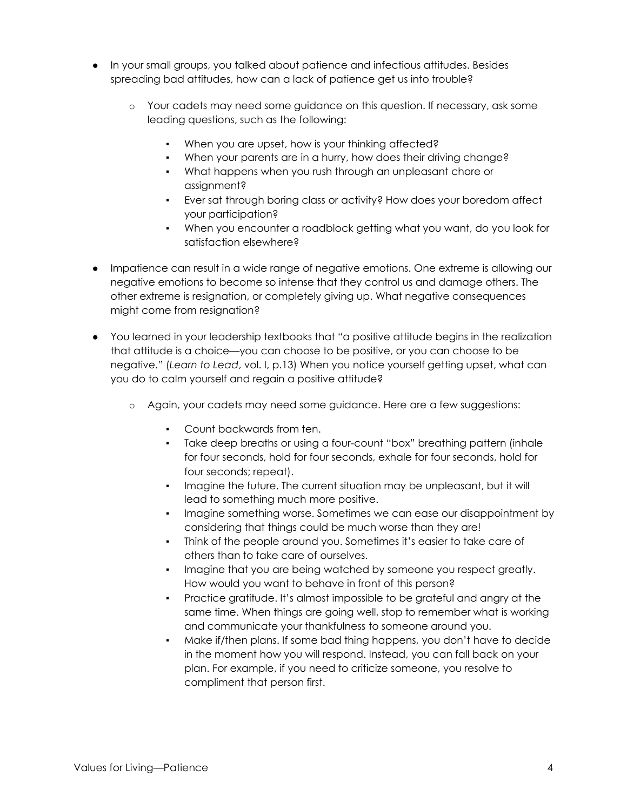- In your small groups, you talked about patience and infectious attitudes. Besides spreading bad attitudes, how can a lack of patience get us into trouble?
	- o Your cadets may need some guidance on this question. If necessary, ask some leading questions, such as the following:
		- When you are upset, how is your thinking affected?
		- When your parents are in a hurry, how does their driving change?
		- What happens when you rush through an unpleasant chore or assignment?
		- Ever sat through boring class or activity? How does your boredom affect your participation?
		- When you encounter a roadblock getting what you want, do you look for satisfaction elsewhere?
- Impatience can result in a wide range of negative emotions. One extreme is allowing our negative emotions to become so intense that they control us and damage others. The other extreme is resignation, or completely giving up. What negative consequences might come from resignation?
- You learned in your leadership textbooks that "a positive attitude begins in the realization that attitude is a choice—you can choose to be positive, or you can choose to be negative." (*Learn to Lead*, vol. I, p.13) When you notice yourself getting upset, what can you do to calm yourself and regain a positive attitude?
	- o Again, your cadets may need some guidance. Here are a few suggestions:
		- Count backwards from ten.
		- Take deep breaths or using a four-count "box" breathing pattern (inhale for four seconds, hold for four seconds, exhale for four seconds, hold for four seconds; repeat).
		- Imagine the future. The current situation may be unpleasant, but it will lead to something much more positive.
		- Imagine something worse. Sometimes we can ease our disappointment by considering that things could be much worse than they are!
		- Think of the people around you. Sometimes it's easier to take care of others than to take care of ourselves.
		- Imagine that you are being watched by someone you respect greatly. How would you want to behave in front of this person?
		- Practice gratitude. It's almost impossible to be grateful and angry at the same time. When things are going well, stop to remember what is working and communicate your thankfulness to someone around you.
		- Make if/then plans. If some bad thing happens, you don't have to decide in the moment how you will respond. Instead, you can fall back on your plan. For example, if you need to criticize someone, you resolve to compliment that person first.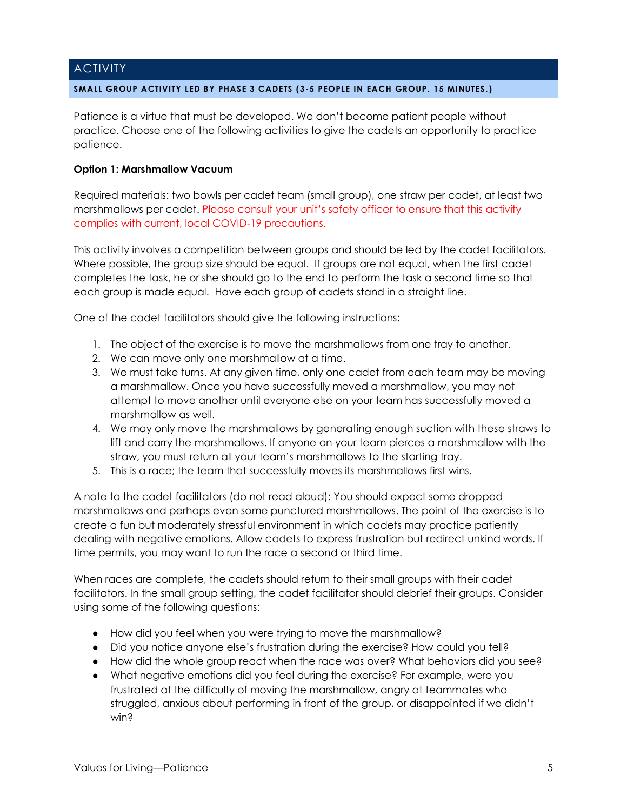## **ACTIVITY**

#### **SMALL GROUP ACTIVITY LED BY PHASE 3 CADETS (3-5 PEOPLE IN EACH GROUP. 15 MINUTES.)**

Patience is a virtue that must be developed. We don't become patient people without practice. Choose one of the following activities to give the cadets an opportunity to practice patience.

#### **Option 1: Marshmallow Vacuum**

Required materials: two bowls per cadet team (small group), one straw per cadet, at least two marshmallows per cadet. Please consult your unit's safety officer to ensure that this activity complies with current, local COVID-19 precautions.

This activity involves a competition between groups and should be led by the cadet facilitators. Where possible, the group size should be equal. If groups are not equal, when the first cadet completes the task, he or she should go to the end to perform the task a second time so that each group is made equal. Have each group of cadets stand in a straight line.

One of the cadet facilitators should give the following instructions:

- 1. The object of the exercise is to move the marshmallows from one tray to another.
- 2. We can move only one marshmallow at a time.
- 3. We must take turns. At any given time, only one cadet from each team may be moving a marshmallow. Once you have successfully moved a marshmallow, you may not attempt to move another until everyone else on your team has successfully moved a marshmallow as well.
- 4. We may only move the marshmallows by generating enough suction with these straws to lift and carry the marshmallows. If anyone on your team pierces a marshmallow with the straw, you must return all your team's marshmallows to the starting tray.
- 5. This is a race; the team that successfully moves its marshmallows first wins.

A note to the cadet facilitators (do not read aloud): You should expect some dropped marshmallows and perhaps even some punctured marshmallows. The point of the exercise is to create a fun but moderately stressful environment in which cadets may practice patiently dealing with negative emotions. Allow cadets to express frustration but redirect unkind words. If time permits, you may want to run the race a second or third time.

When races are complete, the cadets should return to their small groups with their cadet facilitators. In the small group setting, the cadet facilitator should debrief their groups. Consider using some of the following questions:

- How did you feel when you were trying to move the marshmallow?
- Did you notice anyone else's frustration during the exercise? How could you tell?
- How did the whole group react when the race was over? What behaviors did you see?
- What negative emotions did you feel during the exercise? For example, were you frustrated at the difficulty of moving the marshmallow, angry at teammates who struggled, anxious about performing in front of the group, or disappointed if we didn't win?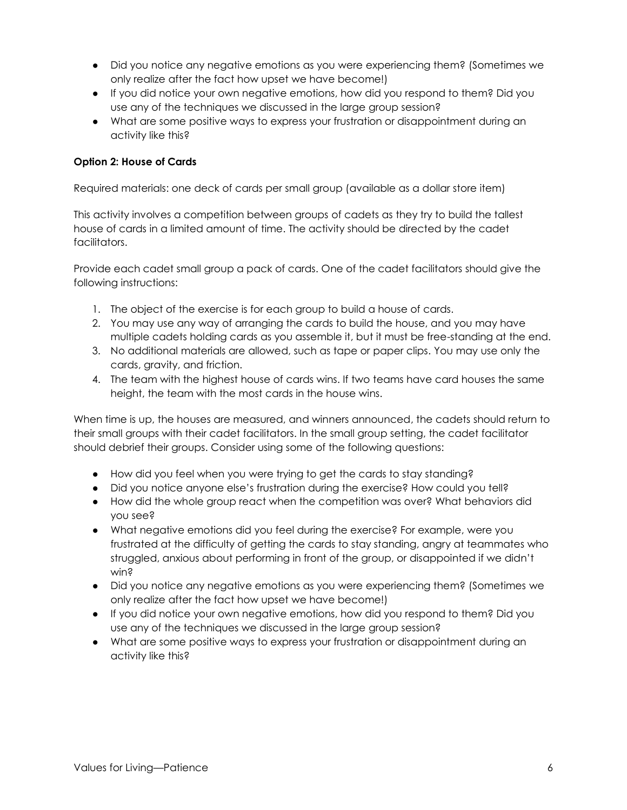- Did you notice any negative emotions as you were experiencing them? (Sometimes we only realize after the fact how upset we have become!)
- If you did notice your own negative emotions, how did you respond to them? Did you use any of the techniques we discussed in the large group session?
- What are some positive ways to express your frustration or disappointment during an activity like this?

## **Option 2: House of Cards**

Required materials: one deck of cards per small group (available as a dollar store item)

This activity involves a competition between groups of cadets as they try to build the tallest house of cards in a limited amount of time. The activity should be directed by the cadet facilitators.

Provide each cadet small group a pack of cards. One of the cadet facilitators should give the following instructions:

- 1. The object of the exercise is for each group to build a house of cards.
- 2. You may use any way of arranging the cards to build the house, and you may have multiple cadets holding cards as you assemble it, but it must be free-standing at the end.
- 3. No additional materials are allowed, such as tape or paper clips. You may use only the cards, gravity, and friction.
- 4. The team with the highest house of cards wins. If two teams have card houses the same height, the team with the most cards in the house wins.

When time is up, the houses are measured, and winners announced, the cadets should return to their small groups with their cadet facilitators. In the small group setting, the cadet facilitator should debrief their groups. Consider using some of the following questions:

- How did you feel when you were trying to get the cards to stay standing?
- Did you notice anyone else's frustration during the exercise? How could you tell?
- How did the whole group react when the competition was over? What behaviors did you see?
- What negative emotions did you feel during the exercise? For example, were you frustrated at the difficulty of getting the cards to stay standing, angry at teammates who struggled, anxious about performing in front of the group, or disappointed if we didn't win?
- Did you notice any negative emotions as you were experiencing them? (Sometimes we only realize after the fact how upset we have become!)
- If you did notice your own negative emotions, how did you respond to them? Did you use any of the techniques we discussed in the large group session?
- What are some positive ways to express your frustration or disappointment during an activity like this?